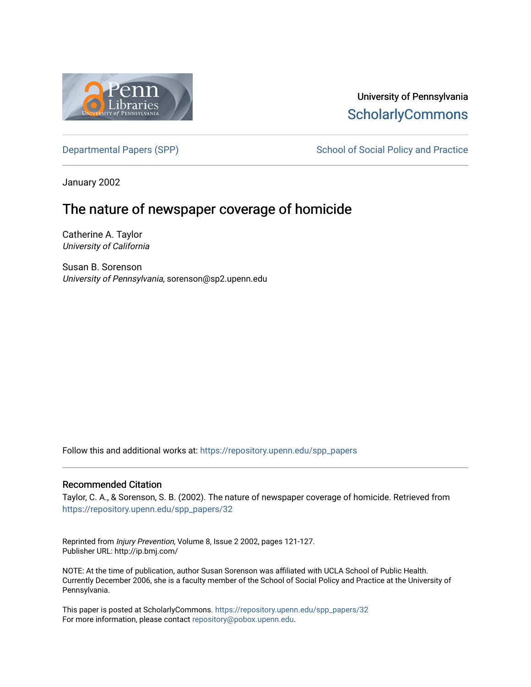

## University of Pennsylvania **ScholarlyCommons**

[Departmental Papers \(SPP\)](https://repository.upenn.edu/spp_papers) School of Social Policy and Practice

January 2002

## The nature of newspaper coverage of homicide

Catherine A. Taylor University of California

Susan B. Sorenson University of Pennsylvania, sorenson@sp2.upenn.edu

Follow this and additional works at: [https://repository.upenn.edu/spp\\_papers](https://repository.upenn.edu/spp_papers?utm_source=repository.upenn.edu%2Fspp_papers%2F32&utm_medium=PDF&utm_campaign=PDFCoverPages) 

### Recommended Citation

Taylor, C. A., & Sorenson, S. B. (2002). The nature of newspaper coverage of homicide. Retrieved from [https://repository.upenn.edu/spp\\_papers/32](https://repository.upenn.edu/spp_papers/32?utm_source=repository.upenn.edu%2Fspp_papers%2F32&utm_medium=PDF&utm_campaign=PDFCoverPages)

Reprinted from Injury Prevention, Volume 8, Issue 2 2002, pages 121-127. Publisher URL: http://ip.bmj.com/

NOTE: At the time of publication, author Susan Sorenson was affiliated with UCLA School of Public Health. Currently December 2006, she is a faculty member of the School of Social Policy and Practice at the University of Pennsylvania.

This paper is posted at ScholarlyCommons. [https://repository.upenn.edu/spp\\_papers/32](https://repository.upenn.edu/spp_papers/32)  For more information, please contact [repository@pobox.upenn.edu.](mailto:repository@pobox.upenn.edu)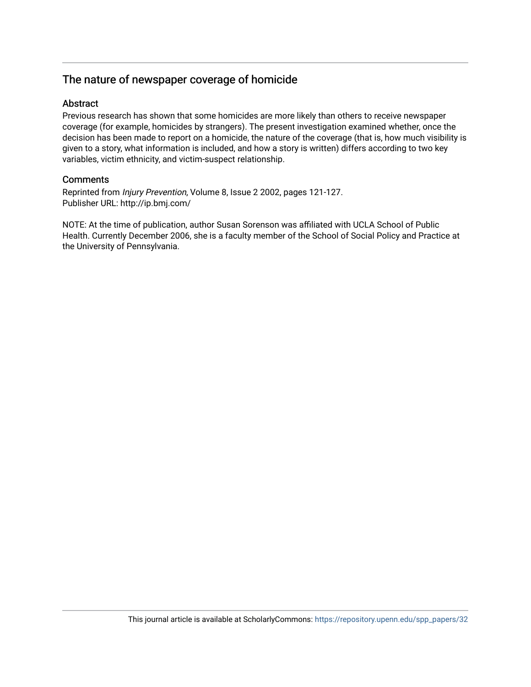## The nature of newspaper coverage of homicide

### **Abstract**

Previous research has shown that some homicides are more likely than others to receive newspaper coverage (for example, homicides by strangers). The present investigation examined whether, once the decision has been made to report on a homicide, the nature of the coverage (that is, how much visibility is given to a story, what information is included, and how a story is written) differs according to two key variables, victim ethnicity, and victim-suspect relationship.

## **Comments**

Reprinted from Injury Prevention, Volume 8, Issue 2 2002, pages 121-127. Publisher URL: http://ip.bmj.com/

NOTE: At the time of publication, author Susan Sorenson was affiliated with UCLA School of Public Health. Currently December 2006, she is a faculty member of the School of Social Policy and Practice at the University of Pennsylvania.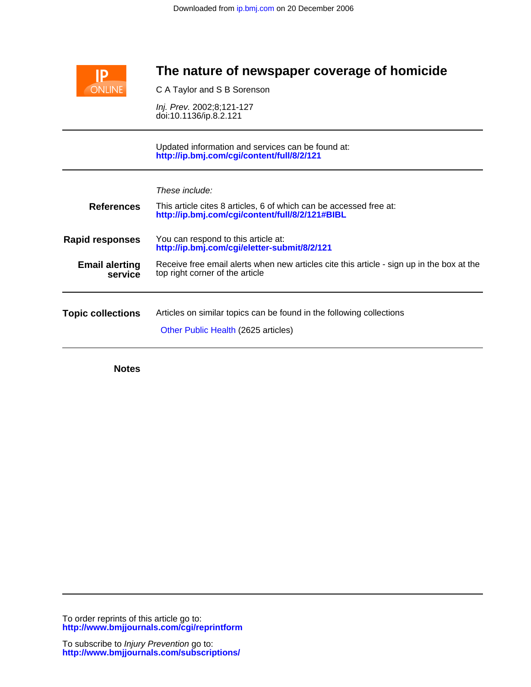

## **The nature of newspaper coverage of homicide**

C A Taylor and S B Sorenson

doi:10.1136/ip.8.2.121 Inj. Prev. 2002;8;121-127

**<http://ip.bmj.com/cgi/content/full/8/2/121>** Updated information and services can be found at:

| These include: |
|----------------|
|                |

| <b>References</b>                | This article cites 8 articles, 6 of which can be accessed free at:<br>http://ip.bmj.com/cgi/content/full/8/2/121#BIBL        |
|----------------------------------|------------------------------------------------------------------------------------------------------------------------------|
| <b>Rapid responses</b>           | You can respond to this article at:<br>http://ip.bmj.com/cgi/eletter-submit/8/2/121                                          |
| <b>Email alerting</b><br>service | Receive free email alerts when new articles cite this article - sign up in the box at the<br>top right corner of the article |
| <b>Topic collections</b>         | Articles on similar topics can be found in the following collections<br>Other Public Health (2625 articles)                  |

**Notes**

**<http://www.bmjjournals.com/cgi/reprintform>** To order reprints of this article go to: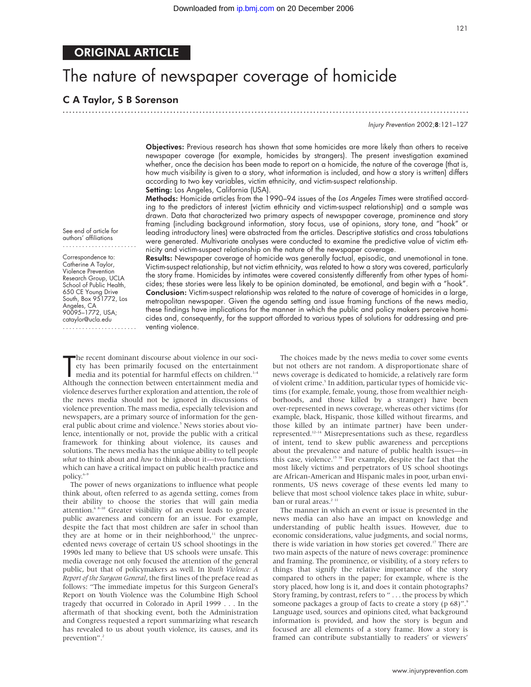### ORIGINAL ARTICLE

# The nature of newspaper coverage of homicide

### C A Taylor, S B Sorenson

.............................................................................................................................

Injury Prevention 2002;8:121–127

Objectives: Previous research has shown that some homicides are more likely than others to receive newspaper coverage (for example, homicides by strangers). The present investigation examined whether, once the decision has been made to report on a homicide, the nature of the coverage (that is, how much visibility is given to a story, what information is included, and how a story is written) differs according to two key variables, victim ethnicity, and victim-suspect relationship. Setting: Los Angeles, California (USA).

Methods: Homicide articles from the 1990–94 issues of the Los Angeles Times were stratified according to the predictors of interest (victim ethnicity and victim-suspect relationship) and a sample was drawn. Data that characterized two primary aspects of newspaper coverage, prominence and story framing (including background information, story focus, use of opinions, story tone, and "hook" or leading introductory lines) were abstracted from the articles. Descriptive statistics and cross tabulations were generated. Multivariate analyses were conducted to examine the predictive value of victim ethnicity and victim-suspect relationship on the nature of the newspaper coverage.

Results: Newspaper coverage of homicide was generally factual, episodic, and unemotional in tone. Victim-suspect relationship, but not victim ethnicity, was related to how a story was covered, particularly the story frame. Homicides by intimates were covered consistently differently from other types of homicides; these stories were less likely to be opinion dominated, be emotional, and begin with a "hook". Conclusion: Victim-suspect relationship was related to the nature of coverage of homicides in a large, metropolitan newspaper. Given the agenda setting and issue framing functions of the news media, these findings have implications for the manner in which the public and policy makers perceive homicides and, consequently, for the support afforded to various types of solutions for addressing and preventing violence.

See end of article for authors' affiliations .......................

Correspondence to: Catherine A Taylor, Violence Prevention Research Group, UCLA School of Public Health, 650 CE Young Drive South, Box 951772, Los Angeles, CA 90095–1772, USA; cataylor@ucla.edu .......................

The recent dominant discourse about violence in our society has been primarily focused on the entertainment media and its potential for harmful effects on children.<sup>14</sup> Although the connection between entertainment media a he recent dominant discourse about violence in our society has been primarily focused on the entertainment media and its potential for harmful effects on children. $14$ violence deserves further exploration and attention, the role of the news media should not be ignored in discussions of violence prevention. The mass media, especially television and newspapers, are a primary source of information for the general public about crime and violence.<sup>5</sup> News stories about violence, intentionally or not, provide the public with a critical framework for thinking about violence, its causes and solutions. The news media has the unique ability to tell people *what* to think about and *how* to think about it—two functions which can have a critical impact on public health practice and policy.<sup>6-</sup>

The power of news organizations to influence what people think about, often referred to as agenda setting, comes from their ability to choose the stories that will gain media attention.<sup>6 8-10</sup> Greater visibility of an event leads to greater public awareness and concern for an issue. For example, despite the fact that most children are safer in school than they are at home or in their neighborhood, $\mu$  the unprecedented news coverage of certain US school shootings in the 1990s led many to believe that US schools were unsafe. This media coverage not only focused the attention of the general public, but that of policymakers as well. In *Youth Violence: A Report of the Surgeon General*, the first lines of the preface read as follows: "The immediate impetus for this Surgeon General's Report on Youth Violence was the Columbine High School tragedy that occurred in Colorado in April 1999 . . . In the aftermath of that shocking event, both the Administration and Congress requested a report summarizing what research has revealed to us about youth violence, its causes, and its prevention".<sup>2</sup>

The choices made by the news media to cover some events but not others are not random. A disproportionate share of news coverage is dedicated to homicide, a relatively rare form of violent crime.<sup>5</sup> In addition, particular types of homicide victims (for example, female, young, those from wealthier neighborhoods, and those killed by a stranger) have been over-represented in news coverage, whereas other victims (for example, black, Hispanic, those killed without firearms, and those killed by an intimate partner) have been underrepresented.<sup>12-14</sup> Misrepresentations such as these, regardless of intent, tend to skew public awareness and perceptions about the prevalence and nature of public health issues—in this case, violence.<sup>15 16</sup> For example, despite the fact that the most likely victims and perpetrators of US school shootings are African-American and Hispanic males in poor, urban environments, US news coverage of these events led many to believe that most school violence takes place in white, suburban or rural areas.<sup>2 11</sup>

The manner in which an event or issue is presented in the news media can also have an impact on knowledge and understanding of public health issues. However, due to economic considerations, value judgments, and social norms, there is wide variation in how stories get covered.<sup>17</sup> There are two main aspects of the nature of news coverage: prominence and framing. The prominence, or visibility, of a story refers to things that signify the relative importance of the story compared to others in the paper; for example, where is the story placed, how long is it, and does it contain photographs? Story framing, by contrast, refers to " . . . the process by which someone packages a group of facts to create a story (p 68)". Language used, sources and opinions cited, what background information is provided, and how the story is begun and focused are all elements of a story frame. How a story is framed can contribute substantially to readers' or viewers'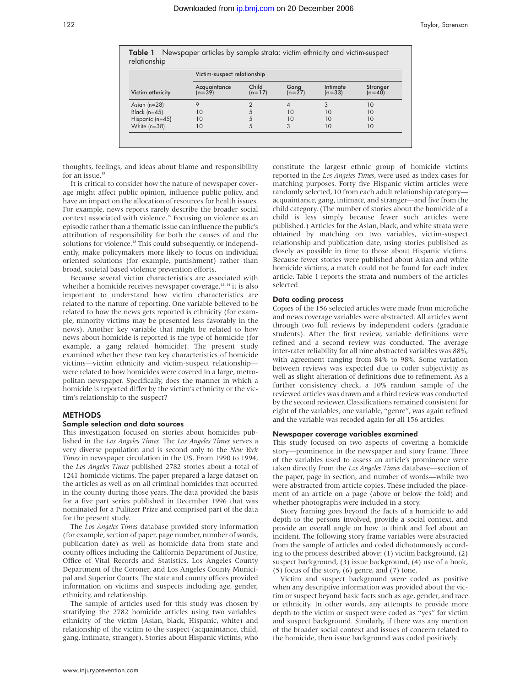|                  | Victim-suspect relationship |                   |                  |                      |                      |  |  |  |  |
|------------------|-----------------------------|-------------------|------------------|----------------------|----------------------|--|--|--|--|
| Victim ethnicity | Acquaintance<br>$(n=39)$    | Child<br>$(n=17)$ | Gang<br>$(n=27)$ | Intimate<br>$(n=33)$ | Stranger<br>$(n=40)$ |  |  |  |  |
| Asian $(n=28)$   | 9                           |                   |                  |                      | 10                   |  |  |  |  |
| Black $(n=45)$   | 10                          |                   | 10               | 10                   | 10                   |  |  |  |  |
| Hispanic (n=45)  | 10                          |                   | 10               | 10                   | 10                   |  |  |  |  |
| White $(n=38)$   | 10                          |                   |                  | 10                   | 10                   |  |  |  |  |

Table 1 Newspaper articles by sample strata: victim ethnicity and victim-suspect

thoughts, feelings, and ideas about blame and responsibility for an issue.<sup>18</sup>

It is critical to consider how the nature of newspaper coverage might affect public opinion, influence public policy, and have an impact on the allocation of resources for health issues. For example, news reports rarely describe the broader social context associated with violence.<sup>19</sup> Focusing on violence as an episodic rather than a thematic issue can influence the public's attribution of responsibility for both the causes of and the solutions for violence.<sup>18</sup> This could subsequently, or independently, make policymakers more likely to focus on individual oriented solutions (for example, punishment) rather than broad, societal based violence prevention efforts.

Because several victim characteristics are associated with whether a homicide receives newspaper coverage,<sup>12-14</sup> it is also important to understand how victim characteristics are related to the nature of reporting. One variable believed to be related to how the news gets reported is ethnicity (for example, minority victims may be presented less favorably in the news). Another key variable that might be related to how news about homicide is reported is the type of homicide (for example, a gang related homicide). The present study examined whether these two key characteristics of homicide victims—victim ethnicity and victim-suspect relationship were related to how homicides were covered in a large, metropolitan newspaper. Specifically, does the manner in which a homicide is reported differ by the victim's ethnicity or the victim's relationship to the suspect?

#### **METHODS**

#### Sample selection and data sources

This investigation focused on stories about homicides published in the *Los Angeles Times*. The *Los Angeles Times* serves a very diverse population and is second only to the *New York Times* in newspaper circulation in the US. From 1990 to 1994, the *Los Angeles Times* published 2782 stories about a total of 1241 homicide victims. The paper prepared a large dataset on the articles as well as on all criminal homicides that occurred in the county during those years. The data provided the basis for a five part series published in December 1996 that was nominated for a Pulitzer Prize and comprised part of the data for the present study.

The *Los Angeles Times* database provided story information (for example, section of paper, page number, number of words, publication date) as well as homicide data from state and county offices including the California Department of Justice, Office of Vital Records and Statistics, Los Angeles County Department of the Coroner, and Los Angeles County Municipal and Superior Courts. The state and county offices provided information on victims and suspects including age, gender, ethnicity, and relationship.

The sample of articles used for this study was chosen by stratifying the 2782 homicide articles using two variables: ethnicity of the victim (Asian, black, Hispanic, white) and relationship of the victim to the suspect (acquaintance, child, gang, intimate, stranger). Stories about Hispanic victims, who

constitute the largest ethnic group of homicide victims reported in the *Los Angeles Times*, were used as index cases for matching purposes. Forty five Hispanic victim articles were randomly selected, 10 from each adult relationship category acquaintance, gang, intimate, and stranger—and five from the child category. (The number of stories about the homicide of a child is less simply because fewer such articles were published.) Articles for the Asian, black, and white strata were obtained by matching on two variables, victim-suspect relationship and publication date, using stories published as closely as possible in time to those about Hispanic victims. Because fewer stories were published about Asian and white homicide victims, a match could not be found for each index article. Table 1 reports the strata and numbers of the articles selected.

#### Data coding process

Copies of the 156 selected articles were made from microfiche and news coverage variables were abstracted. All articles went through two full reviews by independent coders (graduate students). After the first review, variable definitions were refined and a second review was conducted. The average inter-rater reliability for all nine abstracted variables was 88%, with agreement ranging from 84% to 98%. Some variation between reviews was expected due to coder subjectivity as well as slight alteration of definitions due to refinement. As a further consistency check, a 10% random sample of the reviewed articles was drawn and a third review was conducted by the second reviewer. Classifications remained consistent for eight of the variables; one variable, "genre", was again refined and the variable was recoded again for all 156 articles.

#### Newspaper coverage variables examined

This study focused on two aspects of covering a homicide story—prominence in the newspaper and story frame. Three of the variables used to assess an article's prominence were taken directly from the *Los Angeles Times* database—section of the paper, page in section, and number of words—while two were abstracted from article copies. These included the placement of an article on a page (above or below the fold) and whether photographs were included in a story.

Story framing goes beyond the facts of a homicide to add depth to the persons involved, provide a social context, and provide an overall angle on how to think and feel about an incident. The following story frame variables were abstracted from the sample of articles and coded dichotomously according to the process described above: (1) victim background, (2) suspect background, (3) issue background, (4) use of a hook, (5) focus of the story, (6) genre, and (7) tone.

Victim and suspect background were coded as positive when any descriptive information was provided about the victim or suspect beyond basic facts such as age, gender, and race or ethnicity. In other words, any attempts to provide more depth to the victim or suspect were coded as "yes" for victim and suspect background. Similarly, if there was any mention of the broader social context and issues of concern related to the homicide, then issue background was coded positively.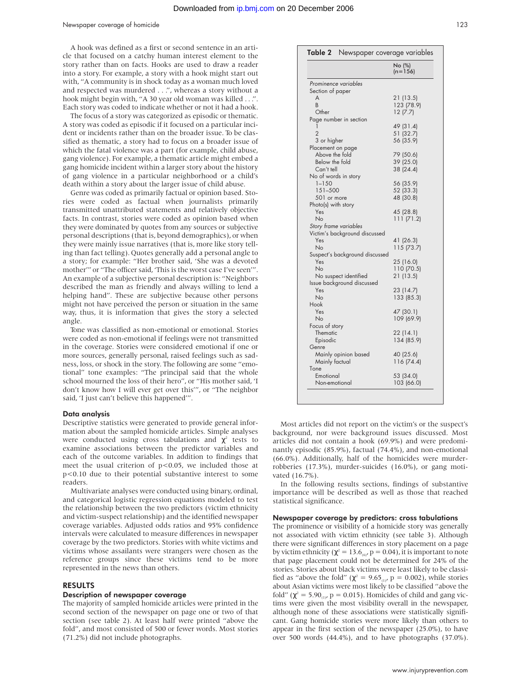A hook was defined as a first or second sentence in an article that focused on a catchy human interest element to the story rather than on facts. Hooks are used to draw a reader into a story. For example, a story with a hook might start out with, "A community is in shock today as a woman much loved and respected was murdered . . .", whereas a story without a hook might begin with, "A 30 year old woman was killed . . .". Each story was coded to indicate whether or not it had a hook.

The focus of a story was categorized as episodic or thematic. A story was coded as episodic if it focused on a particular incident or incidents rather than on the broader issue. To be classified as thematic, a story had to focus on a broader issue of which the fatal violence was a part (for example, child abuse, gang violence). For example, a thematic article might embed a gang homicide incident within a larger story about the history of gang violence in a particular neighborhood or a child's death within a story about the larger issue of child abuse.

Genre was coded as primarily factual or opinion based. Stories were coded as factual when journalists primarily transmitted unattributed statements and relatively objective facts. In contrast, stories were coded as opinion based when they were dominated by quotes from any sources or subjective personal descriptions (that is, beyond demographics), or when they were mainly issue narratives (that is, more like story telling than fact telling). Quotes generally add a personal angle to a story; for example: "Her brother said, 'She was a devoted mother'" or "The officer said, 'This is the worst case I've seen'". An example of a subjective personal description is: "Neighbors described the man as friendly and always willing to lend a helping hand". These are subjective because other persons might not have perceived the person or situation in the same way, thus, it is information that gives the story a selected angle.

Tone was classified as non-emotional or emotional. Stories were coded as non-emotional if feelings were not transmitted in the coverage. Stories were considered emotional if one or more sources, generally personal, raised feelings such as sadness, loss, or shock in the story. The following are some "emotional" tone examples: "The principal said that the whole school mourned the loss of their hero", or "His mother said, 'I don't know how I will ever get over this'", or "The neighbor said, 'I just can't believe this happened'".

#### Data analysis

Descriptive statistics were generated to provide general information about the sampled homicide articles. Simple analyses were conducted using cross tabulations and  $\chi^2$  tests to examine associations between the predictor variables and each of the outcome variables. In addition to findings that meet the usual criterion of p<0.05, we included those at p<0.10 due to their potential substantive interest to some readers.

Multivariate analyses were conducted using binary, ordinal, and categorical logistic regression equations modeled to test the relationship between the two predictors (victim ethnicity and victim-suspect relationship) and the identified newspaper coverage variables. Adjusted odds ratios and 95% confidence intervals were calculated to measure differences in newspaper coverage by the two predictors. Stories with white victims and victims whose assailants were strangers were chosen as the reference groups since these victims tend to be more represented in the news than others.

#### RESULTS

#### Description of newspaper coverage

The majority of sampled homicide articles were printed in the second section of the newspaper on page one or two of that section (see table 2). At least half were printed "above the fold", and most consisted of 500 or fewer words. Most stories (71.2%) did not include photographs.

|                                | No (%)<br>$(n=156)$ |
|--------------------------------|---------------------|
| Prominence variables           |                     |
| Section of paper               |                     |
| A                              | 21 (13.5)           |
| B                              | 123 (78.9)          |
| Other                          | 12(7.7)             |
| Page number in section         |                     |
| 1                              | 49 (31.4)           |
| $\overline{2}$                 | 51 (32.7)           |
| 3 or higher                    | 56 (35.9)           |
| Placement on page              |                     |
| Above the fold                 | 79 (50.6)           |
| Below the fold                 | 39 (25.0)           |
| Can't tell                     | 38 (24.4)           |
| No of words in story           |                     |
| $1 - 150$                      | 56 (35.9)           |
| 151-500                        | 52 (33.3)           |
| 501 or more                    | 48 (30.8)           |
| Photo(s) with story            |                     |
| Yes                            | 45 (28.8)           |
| No                             | 111(71.2)           |
| Story frame variables          |                     |
| Victim's background discussed  |                     |
| Yes                            | 41 (26.3)           |
| No                             | 115(73.7)           |
| Suspect's background discussed |                     |
| Yes                            | 25 (16.0)           |
| No                             | 110 (70.5)          |
| No suspect identified          | 21 (13.5)           |
| Issue background discussed     |                     |
| Yes                            | 23 (14.7)           |
| No                             | 133 (85.3)          |
| Hook                           |                     |
| Yes                            | 47 (30.1)           |
| No                             | 109 (69.9)          |
| Focus of story                 |                     |
| Thematic                       | 22 (14.1)           |
| Episodic                       | 134 (85.9)          |
| Genre                          |                     |
| Mainly opinion based           | 40 (25.6)           |
| Mainly factual                 | 116 (74.4)          |
| Tone                           |                     |
| Emotional                      | 53 (34.0)           |
| Non-emotional                  | 103 (66.0)          |

Most articles did not report on the victim's or the suspect's background, nor were background issues discussed. Most articles did not contain a hook (69.9%) and were predominantly episodic (85.9%), factual (74.4%), and non-emotional (66.0%). Additionally, half of the homicides were murderrobberies (17.3%), murder-suicides (16.0%), or gang motivated (16.7%).

In the following results sections, findings of substantive importance will be described as well as those that reached statistical significance.

#### Newspaper coverage by predictors: cross tabulations

The prominence or visibility of a homicide story was generally not associated with victim ethnicity (see table 3). Although there were significant differences in story placement on a page by victim ethnicity ( $\chi^2 = 13.6_{(6)}$ , p = 0.04), it is important to note that page placement could not be determined for 24% of the stories. Stories about black victims were least likely to be classified as "above the fold" ( $\chi^2 = 9.65_{\text{m}}$ , p = 0.002), while stories about Asian victims were most likely to be classified "above the fold" ( $\chi^2$  = 5.90<sub>(1)</sub>, p = 0.015). Homicides of child and gang victims were given the most visibility overall in the newspaper, although none of these associations were statistically significant. Gang homicide stories were more likely than others to appear in the first section of the newspaper (25.0%), to have over 500 words (44.4%), and to have photographs (37.0%).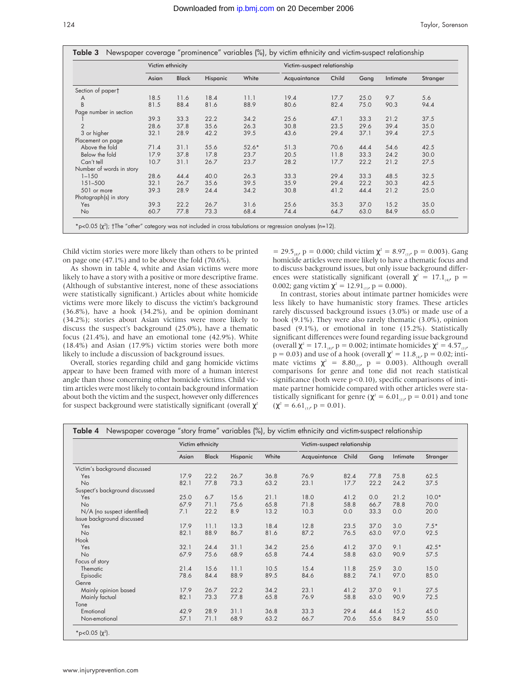|                          | Victim ethnicity |              |          |         | Victim-suspect relationship |       |      |          |          |  |
|--------------------------|------------------|--------------|----------|---------|-----------------------------|-------|------|----------|----------|--|
|                          | Asian            | <b>Black</b> | Hispanic | White   | Acquaintance                | Child | Gang | Intimate | Stranger |  |
| Section of paper†        |                  |              |          |         |                             |       |      |          |          |  |
| A                        | 18.5             | 11.6         | 18.4     | 11.1    | 19.4                        | 17.7  | 25.0 | 9.7      | 5.6      |  |
| B                        | 81.5             | 88.4         | 81.6     | 88.9    | 80.6                        | 82.4  | 75.0 | 90.3     | 94.4     |  |
| Page number in section   |                  |              |          |         |                             |       |      |          |          |  |
|                          | 39.3             | 33.3         | 22.2     | 34.2    | 25.6                        | 47.1  | 33.3 | 21.2     | 37.5     |  |
| $\overline{2}$           | 28.6             | 37.8         | 35.6     | 26.3    | 30.8                        | 23.5  | 29.6 | 39.4     | 35.0     |  |
| 3 or higher              | 32.1             | 28.9         | 42.2     | 39.5    | 43.6                        | 29.4  | 37.1 | 39.4     | 27.5     |  |
| Placement on page        |                  |              |          |         |                             |       |      |          |          |  |
| Above the fold           | 71.4             | 31.1         | 55.6     | $52.6*$ | 51.3                        | 70.6  | 44.4 | 54.6     | 42.5     |  |
| Below the fold           | 17.9             | 37.8         | 17.8     | 23.7    | 20.5                        | 11.8  | 33.3 | 24.2     | 30.0     |  |
| Can't tell               | 10.7             | 31.1         | 26.7     | 23.7    | 28.2                        | 17.7  | 22.2 | 21.2     | 27.5     |  |
| Number of words in story |                  |              |          |         |                             |       |      |          |          |  |
| $1 - 150$                | 28.6             | 44.4         | 40.0     | 26.3    | 33.3                        | 29.4  | 33.3 | 48.5     | 32.5     |  |
| 151-500                  | 32.1             | 26.7         | 35.6     | 39.5    | 35.9                        | 29.4  | 22.2 | 30.3     | 42.5     |  |
| 501 or more              | 39.3             | 28.9         | 24.4     | 34.2    | 30.8                        | 41.2  | 44.4 | 21.2     | 25.0     |  |
| Photograph(s) in story   |                  |              |          |         |                             |       |      |          |          |  |
| Yes                      | 39.3             | 22.2         | 26.7     | 31.6    | 25.6                        | 35.3  | 37.0 | 15.2     | 35.0     |  |
| No                       | 60.7             | 77.8         | 73.3     | 68.4    | 74.4                        | 64.7  | 63.0 | 84.9     | 65.0     |  |

Child victim stories were more likely than others to be printed

on page one (47.1%) and to be above the fold (70.6%). As shown in table 4, white and Asian victims were more likely to have a story with a positive or more descriptive frame. (Although of substantive interest, none of these associations were statistically significant.) Articles about white homicide victims were more likely to discuss the victim's background (36.8%), have a hook (34.2%), and be opinion dominant (34.2%); stories about Asian victims were more likely to discuss the suspect's background (25.0%), have a thematic focus (21.4%), and have an emotional tone (42.9%). White (18.4%) and Asian (17.9%) victim stories were both more likely to include a discussion of background issues.

Overall, stories regarding child and gang homicide victims appear to have been framed with more of a human interest angle than those concerning other homicide victims. Child victim articles were most likely to contain background information about both the victim and the suspect, however only differences for suspect background were statistically significant (overall  $\chi^2$ 

= 29.5<sub>(8)</sub>, p = 0.000; child victim  $\chi^2 = 8.97_{\text{m}}$ , p = 0.003). Gang homicide articles were more likely to have a thematic focus and to discuss background issues, but only issue background differences were statistically significant (overall  $\chi^2 = 17.1_{(4)}$ , p = 0.002; gang victim  $\chi^2 = 12.91_{\text{div}}$  p = 0.000).

In contrast, stories about intimate partner homicides were less likely to have humanistic story frames. These articles rarely discussed background issues (3.0%) or made use of a hook (9.1%). They were also rarely thematic (3.0%), opinion based (9.1%), or emotional in tone (15.2%). Statistically significant differences were found regarding issue background (overall  $\chi^2 = 17.1_{(4)}$ ,  $p = 0.002$ ; intimate homicides  $\chi^2 = 4.57_{(1)}$ ,  $p = 0.03$ ) and use of a hook (overall  $\chi^2 = 11.8_{(4)}$ ,  $p = 0.02$ ; intimate victims  $\chi^2$  = 8.80<sub>(1)</sub>, p = 0.003). Although overall comparisons for genre and tone did not reach statistical significance (both were  $p<0.10$ ), specific comparisons of intimate partner homicide compared with other articles were statistically significant for genre ( $\chi^2 = 6.01_{(1)}$ , p = 0.01) and tone  $(\chi^2 = 6.61_{(1)'} p = 0.01).$ 

|                                | Victim ethnicity |              |          |       | Victim-suspect relationship |       |      |          |          |
|--------------------------------|------------------|--------------|----------|-------|-----------------------------|-------|------|----------|----------|
|                                | Asian            | <b>Black</b> | Hispanic | White | Acquaintance                | Child | Gang | Intimate | Stranger |
| Victim's background discussed  |                  |              |          |       |                             |       |      |          |          |
| Yes                            | 17.9             | 22.2         | 26.7     | 36.8  | 76.9                        | 82.4  | 77.8 | 75.8     | 62.5     |
| <b>No</b>                      | 82.1             | 77.8         | 73.3     | 63.2  | 23.1                        | 17.7  | 22.2 | 24.2     | 37.5     |
| Suspect's background discussed |                  |              |          |       |                             |       |      |          |          |
| Yes                            | 25.0             | 6.7          | 15.6     | 21.1  | 18.0                        | 41.2  | 0.0  | 21.2     | $10.0*$  |
| <b>No</b>                      | 67.9             | 71.1         | 75.6     | 65.8  | 71.8                        | 58.8  | 66.7 | 78.8     | 70.0     |
| N/A (no suspect identified)    | 7.1              | 22.2         | 8.9      | 13.2  | 10.3                        | 0.0   | 33.3 | 0.0      | 20.0     |
| Issue background discussed     |                  |              |          |       |                             |       |      |          |          |
| Yes                            | 17.9             | 11.1         | 13.3     | 18.4  | 12.8                        | 23.5  | 37.0 | 3.0      | $7.5*$   |
| <b>No</b>                      | 82.1             | 88.9         | 86.7     | 81.6  | 87.2                        | 76.5  | 63.0 | 97.0     | 92.5     |
| Hook                           |                  |              |          |       |                             |       |      |          |          |
| Yes                            | 32.1             | 24.4         | 31.1     | 34.2  | 25.6                        | 41.2  | 37.0 | 9.1      | $42.5*$  |
| No                             | 67.9             | 75.6         | 68.9     | 65.8  | 74.4                        | 58.8  | 63.0 | 90.9     | 57.5     |
| Focus of story                 |                  |              |          |       |                             |       |      |          |          |
| Thematic                       | 21.4             | 15.6         | 11.1     | 10.5  | 15.4                        | 11.8  | 25.9 | 3.0      | 15.0     |
| Episodic                       | 78.6             | 84.4         | 88.9     | 89.5  | 84.6                        | 88.2  | 74.1 | 97.0     | 85.0     |
| Genre                          |                  |              |          |       |                             |       |      |          |          |
| Mainly opinion based           | 17.9             | 26.7         | 22.2     | 34.2  | 23.1                        | 41.2  | 37.0 | 9.1      | 27.5     |
| Mainly factual                 | 82.1             | 73.3         | 77.8     | 65.8  | 76.9                        | 58.8  | 63.0 | 90.9     | 72.5     |
| Tone                           |                  |              |          |       |                             |       |      |          |          |
| Emotional                      | 42.9             | 28.9         | 31.1     | 36.8  | 33.3                        | 29.4  | 44.4 | 15.2     | 45.0     |
| Non-emotional                  | 57.1             | 71.1         | 68.9     | 63.2  | 66.7                        | 70.6  | 55.6 | 84.9     | 55.0     |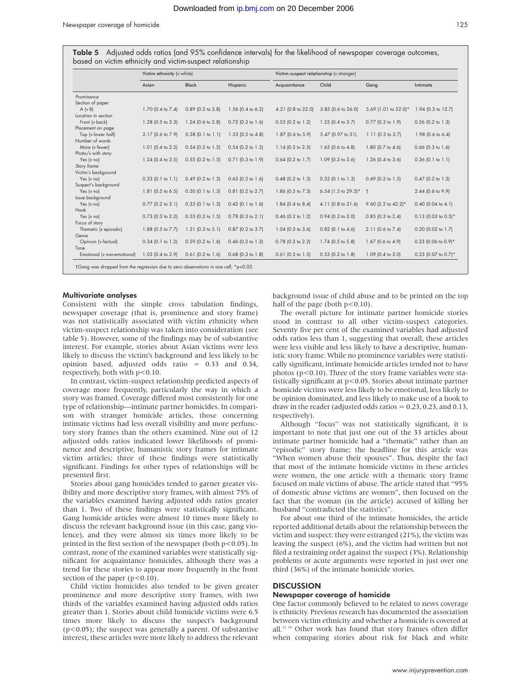Newspaper coverage of homicide 125

Table 5 Adjusted odds ratios (and 95% confidence intervals) for the likelihood of newspaper coverage outcomes, based on victim ethnicity and victim-suspect relationship

|                             | Victim ethnicity (v white) |                         |                     | Victim-suspect relationship (v stranger) |                                |                      |                         |  |
|-----------------------------|----------------------------|-------------------------|---------------------|------------------------------------------|--------------------------------|----------------------|-------------------------|--|
|                             | Asian                      | <b>Black</b>            | Hispanic            | Acquaintance                             | Child                          | Gang                 | Intimate                |  |
| Prominence                  |                            |                         |                     |                                          |                                |                      |                         |  |
| Section of paper            |                            |                         |                     |                                          |                                |                      |                         |  |
| A (v B)                     | 1.70 (0.4 to 7.4)          | $0.89$ (0.2 to $3.8$ )  | 1.56 (0.4 to 6.2)   | 4.21 (0.8 to 22.0)                       | 3.85 (0.6 to 26.0)             | 5.69 (1.01 to 32.0)* | 1.94 (0.3 to 12.7)      |  |
| Location in section         |                            |                         |                     |                                          |                                |                      |                         |  |
| Front (v back)              | $1.28$ (0.5 to 3.3)        | 1.24 (0.6 to 2.8)       | $0.72$ (0.3 to 1.6) | $0.53$ (0.2 to 1.2)                      | 1.25 (0.4 to 3.7)              | $0.77$ (0.3 to 1.9)  | $0.56$ $(0.2$ to $1.3)$ |  |
| Placement on page           |                            |                         |                     |                                          |                                |                      |                         |  |
| Top (v lower half)          | 2.17 (0.6 to 7.9)          | $0.38$ (0.1 to 1.1)     | $1.53$ (0.5 to 4.8) | 1.87 (0.6 to 5.9)                        | 5.47 (0.97 to 31)              | $1.11$ (0.3 to 3.7)  | 1.98 (0.6 to 6.4)       |  |
| Number of words             |                            |                         |                     |                                          |                                |                      |                         |  |
| More (v fewer)              | $1.01$ (0.4 to 2.5)        | $0.54$ (0.2 to 1.2)     | $0.54$ (0.2 to 1.2) | 1.14 $(0.5 \text{ to } 2.5)$             | $1.65$ (0.6 to 4.8)            | 1.80 (0.7 to 4.6)    | $0.66$ $(0.3$ to $1.6)$ |  |
| Photo/s with story          |                            |                         |                     |                                          |                                |                      |                         |  |
| Yes $(v \text{ no})$        | $1.24$ (0.4 to 3.5)        | $0.55$ (0.2 to 1.5)     | 0.71 (0.3 to 1.9)   | $0.64$ (0.2 to 1.7)                      | $1.09$ (0.3 to 3.6)            | 1.26 (0.4 to 3.6)    | $0.36$ $[0.1$ to $1.1]$ |  |
| Story frame                 |                            |                         |                     |                                          |                                |                      |                         |  |
| Victim's background         |                            |                         |                     |                                          |                                |                      |                         |  |
| Yes $(v \text{ no})$        | $0.33$ (0.1 to 1.1)        | $0.49$ (0.2 to 1.3)     | $0.63$ (0.2 to 1.6) | $0.48$ (0.2 to 1.3)                      | $0.32$ (0.1 to 1.3)            | $0.49$ (0.2 to 1.5)  | $0.47$ (0.2 to 1.3)     |  |
| Suspect's background        |                            |                         |                     |                                          |                                |                      |                         |  |
| Yes (v no)                  | $1.81$ (0.5 to 6.5)        | $0.30$ (0.1 to 1.3)     | 0.81 (0.2 to 2.7)   | 1.86 (0.5 to 7.3)                        | 6.54 (1.5 to 29.5)* $\uparrow$ |                      | 2.44 (0.6 to 9.9)       |  |
| Issue background            |                            |                         |                     |                                          |                                |                      |                         |  |
| Yes $(v \nno)$              | $0.77$ (0.2 to 3.1)        | $0.33$ $[0.1$ to $1.3]$ | $0.42$ (0.1 to 1.6) | $1.84$ (0.4 to 8.4)                      | 4.11 (0.8 to 21.6)             | 9.60 (2.2 to 42.2)*  | $0.40$ (0.04 to 4.1)    |  |
| Hook                        |                            |                         |                     |                                          |                                |                      |                         |  |
| Yes (v no)                  | $0.73$ (0.3 to 2.2)        | $0.55$ (0.2 to 1.5)     | $0.78$ (0.3 to 2.1) | $0.46$ (0.2 to 1.2)                      | $0.94$ (0.3 to 3.0)            | $0.85$ (0.3 to 2.4)  | $0.13$ (0.03 to 0.5)*   |  |
| Focus of story              |                            |                         |                     |                                          |                                |                      |                         |  |
| Thematic (v episodic)       | 1.88 (0.5 to 7.7)          | $1.31$ (0.3 to 5.1)     | $0.87$ (0.2 to 3.7) | $1.04$ (0.3 to 3.6)                      | $0.82$ (0.1 to 4.6)            | 2.11 (0.6 to 7.4)    | 0.20 (0.02 to 1.7)      |  |
| Genre                       |                            |                         |                     |                                          |                                |                      |                         |  |
| Opinion (v factual)         | $0.34$ (0.1 to 1.2)        | $0.59$ (0.2 to 1.6)     | $0.46$ (0.2 to 1.3) | $0.78$ (0.3 to 2.2)                      | $1.74$ (0.5 to 5.8)            | 1.67 (0.6 to 4.9)    | $0.23$ (0.06 to 0.9)*   |  |
| Tone                        |                            |                         |                     |                                          |                                |                      |                         |  |
| Emotional (v non-emotional) | $1.03$ (0.4 to 2.9)        | $0.61$ (0.2 to 1.6)     | $0.68$ (0.3 to 1.8) | $0.61$ (0.2 to 1.5)                      | $0.53$ (0.2 to 1.8)            | 1.09 (0.4 to 3.0)    | $0.23$ (0.07 to 0.7)*   |  |

#### Multivariate analyses

Consistent with the simple cross tabulation findings, newspaper coverage (that is, prominence and story frame) was not statistically associated with victim ethnicity when victim-suspect relationship was taken into consideration (see table 5). However, some of the findings may be of substantive interest. For example, stories about Asian victims were less likely to discuss the victim's background and less likely to be opinion based, adjusted odds ratio = 0.33 and 0.34, respectively, both with p<0.10.

In contrast, victim-suspect relationship predicted aspects of coverage more frequently, particularly the way in which a story was framed. Coverage differed most consistently for one type of relationship—intimate partner homicides. In comparison with stranger homicide articles, those concerning intimate victims had less overall visibility and more perfunctory story frames than the others examined. Nine out of 12 adjusted odds ratios indicated lower likelihoods of prominence and descriptive, humanistic story frames for intimate victim articles; three of these findings were statistically significant. Findings for other types of relationships will be presented first.

Stories about gang homicides tended to garner greater visibility and more descriptive story frames, with almost 75% of the variables examined having adjusted odds ratios greater than 1. Two of these findings were statistically significant. Gang homicide articles were almost 10 times more likely to discuss the relevant background issue (in this case, gang violence), and they were almost six times more likely to be printed in the first section of the newspaper (both  $p<0.05$ ). In contrast, none of the examined variables were statistically significant for acquaintance homicides, although there was a trend for these stories to appear more frequently in the front section of the paper  $(p<0.10)$ .

Child victim homicides also tended to be given greater prominence and more descriptive story frames, with two thirds of the variables examined having adjusted odds ratios greater than 1. Stories about child homicide victims were 6.5 times more likely to discuss the suspect's background (p<0.05); the suspect was generally a parent. Of substantive interest, these articles were more likely to address the relevant background issue of child abuse and to be printed on the top half of the page (both  $p < 0.10$ ).

The overall picture for intimate partner homicide stories stood in contrast to all other victim-suspect categories. Seventy five per cent of the examined variables had adjusted odds ratios less than 1, suggesting that overall, these articles were less visible and less likely to have a descriptive, humanistic story frame. While no prominence variables were statistically significant, intimate homicide articles tended not to have photos (p<0.10). Three of the story frame variables were statistically significant at p<0.05. Stories about intimate partner homicide victims were less likely to be emotional, less likely to be opinion dominated, and less likely to make use of a hook to draw in the reader (adjusted odds ratios  $= 0.23, 0.23,$  and 0.13, respectively).

Although "focus" was not statistically significant, it is important to note that just one out of the 33 articles about intimate partner homicide had a "thematic" rather than an "episodic" story frame; the headline for this article was "When women abuse their spouses". Thus, despite the fact that most of the intimate homicide victims in these articles were women, the one article with a thematic story frame focused on male victims of abuse. The article stated that "95% of domestic abuse victims are women", then focused on the fact that the woman (in the article) accused of killing her husband "contradicted the statistics".

For about one third of the intimate homicides, the article reported additional details about the relationship between the victim and suspect: they were estranged (21%), the victim was leaving the suspect (6%), and the victim had written but not filed a restraining order against the suspect (3%). Relationship problems or acute arguments were reported in just over one third (36%) of the intimate homicide stories.

#### **DISCUSSION**

#### Newspaper coverage of homicide

One factor commonly believed to be related to news coverage is ethnicity. Previous research has documented the association between victim ethnicity and whether a homicide is covered at all.<sup>12 14</sup> Other work has found that story frames often differ when comparing stories about risk for black and white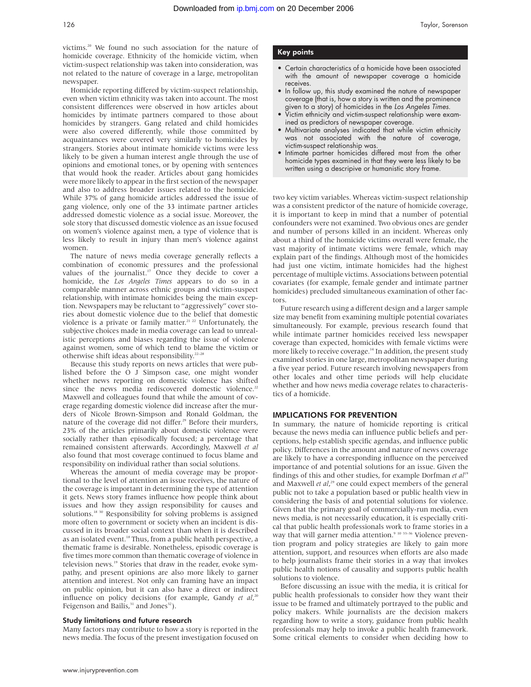victims.20 We found no such association for the nature of homicide coverage. Ethnicity of the homicide victim, when victim-suspect relationship was taken into consideration, was not related to the nature of coverage in a large, metropolitan newspaper.

Homicide reporting differed by victim-suspect relationship, even when victim ethnicity was taken into account. The most consistent differences were observed in how articles about homicides by intimate partners compared to those about homicides by strangers. Gang related and child homicides were also covered differently, while those committed by acquaintances were covered very similarly to homicides by strangers. Stories about intimate homicide victims were less likely to be given a human interest angle through the use of opinions and emotional tones, or by opening with sentences that would hook the reader. Articles about gang homicides were more likely to appear in the first section of the newspaper and also to address broader issues related to the homicide. While 37% of gang homicide articles addressed the issue of gang violence, only one of the 33 intimate partner articles addressed domestic violence as a social issue. Moreover, the sole story that discussed domestic violence as an issue focused on women's violence against men, a type of violence that is less likely to result in injury than men's violence against women.

The nature of news media coverage generally reflects a combination of economic pressures and the professional values of the journalist.<sup>17</sup> Once they decide to cover a homicide, the *Los Angeles Times* appears to do so in a comparable manner across ethnic groups and victim-suspect relationship, with intimate homicides being the main exception. Newspapers may be reluctant to "aggressively" cover stories about domestic violence due to the belief that domestic violence is a private or family matter.<sup>21, 22</sup> Unfortunately, the subjective choices made in media coverage can lead to unrealistic perceptions and biases regarding the issue of violence against women, some of which tend to blame the victim or otherwise shift ideas about responsibility.<sup>22-28</sup>

Because this study reports on news articles that were published before the O J Simpson case, one might wonder whether news reporting on domestic violence has shifted since the news media rediscovered domestic violence.<sup>22</sup> Maxwell and colleagues found that while the amount of coverage regarding domestic violence did increase after the murders of Nicole Brown-Simpson and Ronald Goldman, the nature of the coverage did not differ.<sup>29</sup> Before their murders, 23% of the articles primarily about domestic violence were socially rather than episodically focused; a percentage that remained consistent afterwards. Accordingly, Maxwell *et al* also found that most coverage continued to focus blame and responsibility on individual rather than social solutions.

Whereas the amount of media coverage may be proportional to the level of attention an issue receives, the nature of the coverage is important in determining the type of attention it gets. News story frames influence how people think about issues and how they assign responsibility for causes and solutions.<sup>18 30</sup> Responsibility for solving problems is assigned more often to government or society when an incident is discussed in its broader social context than when it is described as an isolated event.<sup>18</sup> Thus, from a public health perspective, a thematic frame is desirable. Nonetheless, episodic coverage is five times more common than thematic coverage of violence in television news.<sup>19</sup> Stories that draw in the reader, evoke sympathy, and present opinions are also more likely to garner attention and interest. Not only can framing have an impact on public opinion, but it can also have a direct or indirect influence on policy decisions (for example, Gandy *et al*,<sup>20</sup><br>Feigenson and Bailis<sup>31</sup> and Jones<sup>32</sup>) Feigenson and Bailis, $31$  and Jones<sup>32</sup>).

#### Study limitations and future research

Many factors may contribute to how a story is reported in the news media. The focus of the present investigation focused on

#### Key points

- Certain characteristics of a homicide have been associated with the amount of newspaper coverage a homicide receives.
- In follow up, this study examined the nature of newspaper coverage (that is, how a story is written and the prominence given to a story) of homicides in the Los Angeles Times.
- Victim ethnicity and victim-suspect relationship were examined as predictors of newspaper coverage.
- Multivariate analyses indicated that while victim ethnicity was not associated with the nature of coverage, victim-suspect relationship was.
- Intimate partner homicides differed most from the other homicide types examined in that they were less likely to be written using a descripive or humanistic story frame.

two key victim variables. Whereas victim-suspect relationship was a consistent predictor of the nature of homicide coverage, it is important to keep in mind that a number of potential confounders were not examined. Two obvious ones are gender and number of persons killed in an incident. Whereas only about a third of the homicide victims overall were female, the vast majority of intimate victims were female, which may explain part of the findings. Although most of the homicides had just one victim, intimate homicides had the highest percentage of multiple victims. Associations between potential covariates (for example, female gender and intimate partner homicides) precluded simultaneous examination of other factors.

Future research using a different design and a larger sample size may benefit from examining multiple potential covariates simultaneously. For example, previous research found that while intimate partner homicides received less newspaper coverage than expected, homicides with female victims were more likely to receive coverage.<sup>14</sup> In addition, the present study examined stories in one large, metropolitan newspaper during a five year period. Future research involving newspapers from other locales and other time periods will help elucidate whether and how news media coverage relates to characteristics of a homicide.

#### IMPLICATIONS FOR PREVENTION

In summary, the nature of homicide reporting is critical because the news media can influence public beliefs and perceptions, help establish specific agendas, and influence public policy. Differences in the amount and nature of news coverage are likely to have a corresponding influence on the perceived importance of and potential solutions for an issue. Given the findings of this and other studies, for example Dorfman *et al*<sup>19</sup> and Maxwell *et al*,<sup>29</sup> one could expect members of the general public hot to take a population based or public health view in public not to take a population based or public health view in considering the basis of and potential solutions for violence. Given that the primary goal of commercially-run media, even news media, is not necessarily education, it is especially critical that public health professionals work to frame stories in a way that will garner media attention.<sup>9 10 33-36</sup> Violence prevention program and policy strategies are likely to gain more attention, support, and resources when efforts are also made to help journalists frame their stories in a way that invokes public health notions of causality and supports public health solutions to violence.

Before discussing an issue with the media, it is critical for public health professionals to consider how they want their issue to be framed and ultimately portrayed to the public and policy makers. While journalists are the decision makers regarding how to write a story, guidance from public health professionals may help to invoke a public health framework. Some critical elements to consider when deciding how to